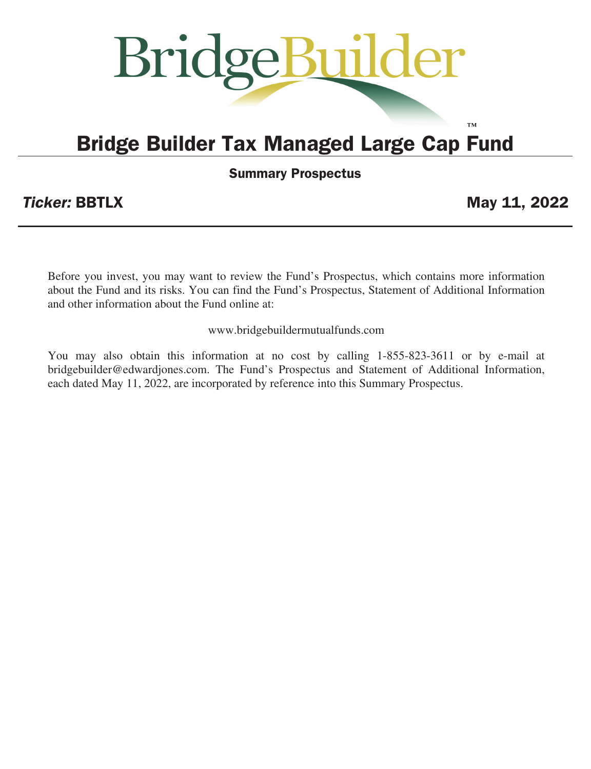# BridgeBuild

# Bridge Builder Tax Managed Large Cap Fund

### Summary Prospectus

## Ticker: BBTLX May 11, 2022

**TM** 

Before you invest, you may want to review the Fund's Prospectus, which contains more information about the Fund and its risks. You can find the Fund's Prospectus, Statement of Additional Information and other information about the Fund online at:

www.bridgebuildermutualfunds.com

You may also obtain this information at no cost by calling 1-855-823-3611 or by e-mail at bridgebuilder@edwardjones.com. The Fund's Prospectus and Statement of Additional Information, each dated May 11, 2022, are incorporated by reference into this Summary Prospectus.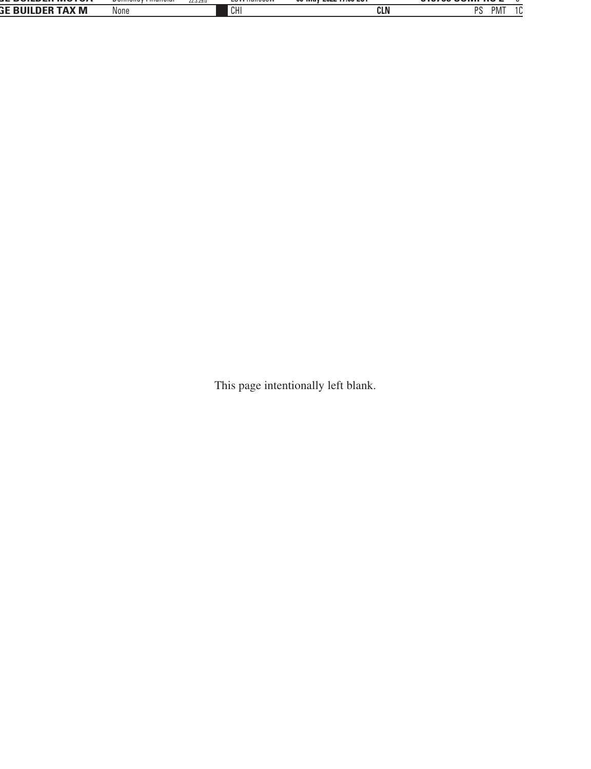| 8 <del>6 DOIEDER NOTOR</del> | munviur<br><b>DUITIUTU</b> | 22.3.29.0 | <b>LOVY HUHOOOVY</b> | v <del>o ma</del><br><b>EVEL 17,00 LUT</b> | - 919709 991111 119 E |          |
|------------------------------|----------------------------|-----------|----------------------|--------------------------------------------|-----------------------|----------|
| <b>LDER TAX M</b><br>-----   | None                       |           | 011<br>UП.           | <b>CLN</b>                                 | nс<br>PM.             | ה ו<br>u |

This page intentionally left blank.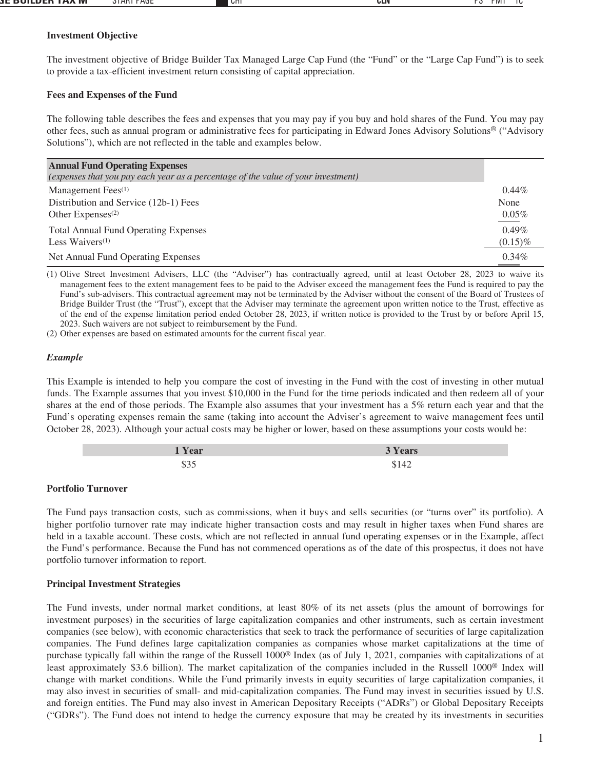#### **Investment Objective**

The investment objective of Bridge Builder Tax Managed Large Cap Fund (the "Fund" or the "Large Cap Fund") is to seek to provide a tax-efficient investment return consisting of capital appreciation.

#### **Fees and Expenses of the Fund**

The following table describes the fees and expenses that you may pay if you buy and hold shares of the Fund. You may pay other fees, such as annual program or administrative fees for participating in Edward Jones Advisory Solutions® ("Advisory Solutions"), which are not reflected in the table and examples below.

| <b>Annual Fund Operating Expenses</b><br>(expenses that you pay each year as a percentage of the value of your investment) |            |
|----------------------------------------------------------------------------------------------------------------------------|------------|
| Management Fees $(1)$                                                                                                      | $0.44\%$   |
| Distribution and Service (12b-1) Fees                                                                                      | None       |
| Other Expenses $(2)$                                                                                                       | 0.05%      |
| <b>Total Annual Fund Operating Expenses</b>                                                                                | $0.49\%$   |
| Less Waivers $(1)$                                                                                                         | $(0.15)\%$ |
| Net Annual Fund Operating Expenses                                                                                         | $0.34\%$   |

(1) Olive Street Investment Advisers, LLC (the "Adviser") has contractually agreed, until at least October 28, 2023 to waive its management fees to the extent management fees to be paid to the Adviser exceed the management fees the Fund is required to pay the Fund's sub-advisers. This contractual agreement may not be terminated by the Adviser without the consent of the Board of Trustees of Bridge Builder Trust (the "Trust"), except that the Adviser may terminate the agreement upon written notice to the Trust, effective as of the end of the expense limitation period ended October 28, 2023, if written notice is provided to the Trust by or before April 15, 2023. Such waivers are not subject to reimbursement by the Fund.

(2) Other expenses are based on estimated amounts for the current fiscal year.

#### *Example*

This Example is intended to help you compare the cost of investing in the Fund with the cost of investing in other mutual funds. The Example assumes that you invest \$10,000 in the Fund for the time periods indicated and then redeem all of your shares at the end of those periods. The Example also assumes that your investment has a 5% return each year and that the Fund's operating expenses remain the same (taking into account the Adviser's agreement to waive management fees until October 28, 2023). Although your actual costs may be higher or lower, based on these assumptions your costs would be:

| 1 Year | 3 Years     |
|--------|-------------|
|        | $.11^\circ$ |

#### **Portfolio Turnover**

The Fund pays transaction costs, such as commissions, when it buys and sells securities (or "turns over" its portfolio). A higher portfolio turnover rate may indicate higher transaction costs and may result in higher taxes when Fund shares are held in a taxable account. These costs, which are not reflected in annual fund operating expenses or in the Example, affect the Fund's performance. Because the Fund has not commenced operations as of the date of this prospectus, it does not have portfolio turnover information to report.

#### **Principal Investment Strategies**

The Fund invests, under normal market conditions, at least 80% of its net assets (plus the amount of borrowings for investment purposes) in the securities of large capitalization companies and other instruments, such as certain investment companies (see below), with economic characteristics that seek to track the performance of securities of large capitalization companies. The Fund defines large capitalization companies as companies whose market capitalizations at the time of purchase typically fall within the range of the Russell 1000® Index (as of July 1, 2021, companies with capitalizations of at least approximately \$3.6 billion). The market capitalization of the companies included in the Russell 1000® Index will change with market conditions. While the Fund primarily invests in equity securities of large capitalization companies, it may also invest in securities of small- and mid-capitalization companies. The Fund may invest in securities issued by U.S. and foreign entities. The Fund may also invest in American Depositary Receipts ("ADRs") or Global Depositary Receipts ("GDRs"). The Fund does not intend to hedge the currency exposure that may be created by its investments in securities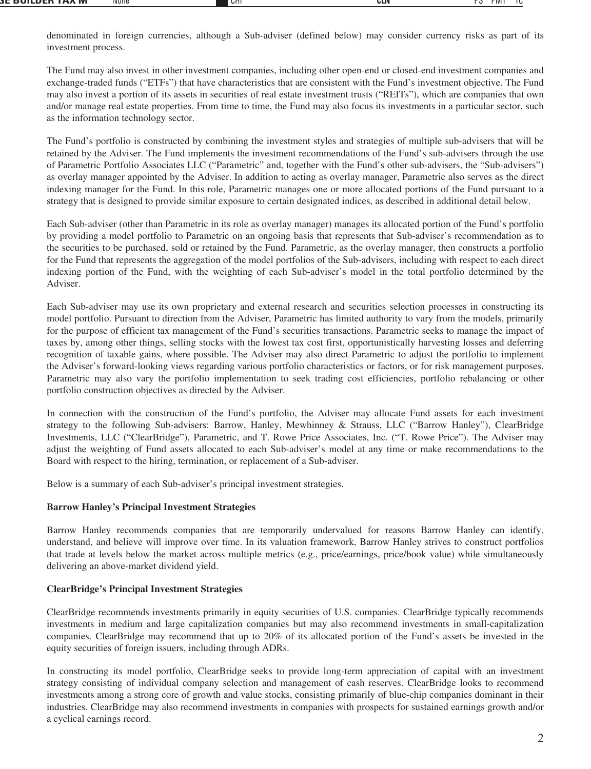denominated in foreign currencies, although a Sub-adviser (defined below) may consider currency risks as part of its investment process.

The Fund may also invest in other investment companies, including other open-end or closed-end investment companies and exchange-traded funds ("ETFs") that have characteristics that are consistent with the Fund's investment objective. The Fund may also invest a portion of its assets in securities of real estate investment trusts ("REITs"), which are companies that own and/or manage real estate properties. From time to time, the Fund may also focus its investments in a particular sector, such as the information technology sector.

The Fund's portfolio is constructed by combining the investment styles and strategies of multiple sub-advisers that will be retained by the Adviser. The Fund implements the investment recommendations of the Fund's sub-advisers through the use of Parametric Portfolio Associates LLC ("Parametric" and, together with the Fund's other sub-advisers, the "Sub-advisers") as overlay manager appointed by the Adviser. In addition to acting as overlay manager, Parametric also serves as the direct indexing manager for the Fund. In this role, Parametric manages one or more allocated portions of the Fund pursuant to a strategy that is designed to provide similar exposure to certain designated indices, as described in additional detail below.

Each Sub-adviser (other than Parametric in its role as overlay manager) manages its allocated portion of the Fund's portfolio by providing a model portfolio to Parametric on an ongoing basis that represents that Sub-adviser's recommendation as to the securities to be purchased, sold or retained by the Fund. Parametric, as the overlay manager, then constructs a portfolio for the Fund that represents the aggregation of the model portfolios of the Sub-advisers, including with respect to each direct indexing portion of the Fund, with the weighting of each Sub-adviser's model in the total portfolio determined by the Adviser.

Each Sub-adviser may use its own proprietary and external research and securities selection processes in constructing its model portfolio. Pursuant to direction from the Adviser, Parametric has limited authority to vary from the models, primarily for the purpose of efficient tax management of the Fund's securities transactions. Parametric seeks to manage the impact of taxes by, among other things, selling stocks with the lowest tax cost first, opportunistically harvesting losses and deferring recognition of taxable gains, where possible. The Adviser may also direct Parametric to adjust the portfolio to implement the Adviser's forward-looking views regarding various portfolio characteristics or factors, or for risk management purposes. Parametric may also vary the portfolio implementation to seek trading cost efficiencies, portfolio rebalancing or other portfolio construction objectives as directed by the Adviser.

In connection with the construction of the Fund's portfolio, the Adviser may allocate Fund assets for each investment strategy to the following Sub-advisers: Barrow, Hanley, Mewhinney & Strauss, LLC ("Barrow Hanley"), ClearBridge Investments, LLC ("ClearBridge"), Parametric, and T. Rowe Price Associates, Inc. ("T. Rowe Price"). The Adviser may adjust the weighting of Fund assets allocated to each Sub-adviser's model at any time or make recommendations to the Board with respect to the hiring, termination, or replacement of a Sub-adviser.

Below is a summary of each Sub-adviser's principal investment strategies.

#### **Barrow Hanley's Principal Investment Strategies**

Barrow Hanley recommends companies that are temporarily undervalued for reasons Barrow Hanley can identify, understand, and believe will improve over time. In its valuation framework, Barrow Hanley strives to construct portfolios that trade at levels below the market across multiple metrics (e.g., price/earnings, price/book value) while simultaneously delivering an above-market dividend yield.

#### **ClearBridge's Principal Investment Strategies**

ClearBridge recommends investments primarily in equity securities of U.S. companies. ClearBridge typically recommends investments in medium and large capitalization companies but may also recommend investments in small-capitalization companies. ClearBridge may recommend that up to 20% of its allocated portion of the Fund's assets be invested in the equity securities of foreign issuers, including through ADRs.

In constructing its model portfolio, ClearBridge seeks to provide long-term appreciation of capital with an investment strategy consisting of individual company selection and management of cash reserves. ClearBridge looks to recommend investments among a strong core of growth and value stocks, consisting primarily of blue-chip companies dominant in their industries. ClearBridge may also recommend investments in companies with prospects for sustained earnings growth and/or a cyclical earnings record.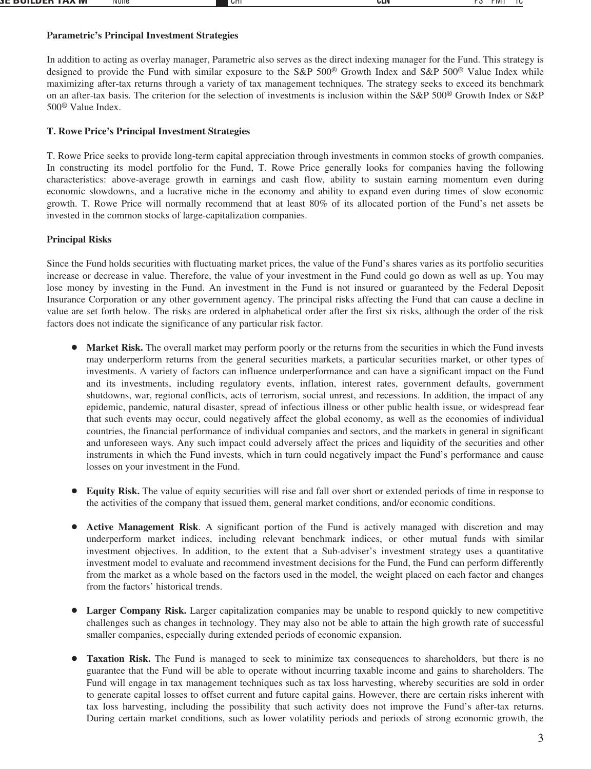#### **Parametric's Principal Investment Strategies**

In addition to acting as overlay manager, Parametric also serves as the direct indexing manager for the Fund. This strategy is designed to provide the Fund with similar exposure to the S&P 500® Growth Index and S&P 500® Value Index while maximizing after-tax returns through a variety of tax management techniques. The strategy seeks to exceed its benchmark on an after-tax basis. The criterion for the selection of investments is inclusion within the  $S\&P 500^{\circ}$  Growth Index or  $S\&P$ 500® Value Index.

#### **T. Rowe Price's Principal Investment Strategies**

T. Rowe Price seeks to provide long-term capital appreciation through investments in common stocks of growth companies. In constructing its model portfolio for the Fund, T. Rowe Price generally looks for companies having the following characteristics: above-average growth in earnings and cash flow, ability to sustain earning momentum even during economic slowdowns, and a lucrative niche in the economy and ability to expand even during times of slow economic growth. T. Rowe Price will normally recommend that at least 80% of its allocated portion of the Fund's net assets be invested in the common stocks of large-capitalization companies.

#### **Principal Risks**

Since the Fund holds securities with fluctuating market prices, the value of the Fund's shares varies as its portfolio securities increase or decrease in value. Therefore, the value of your investment in the Fund could go down as well as up. You may lose money by investing in the Fund. An investment in the Fund is not insured or guaranteed by the Federal Deposit Insurance Corporation or any other government agency. The principal risks affecting the Fund that can cause a decline in value are set forth below. The risks are ordered in alphabetical order after the first six risks, although the order of the risk factors does not indicate the significance of any particular risk factor.

- **Market Risk.** The overall market may perform poorly or the returns from the securities in which the Fund invests may underperform returns from the general securities markets, a particular securities market, or other types of investments. A variety of factors can influence underperformance and can have a significant impact on the Fund and its investments, including regulatory events, inflation, interest rates, government defaults, government shutdowns, war, regional conflicts, acts of terrorism, social unrest, and recessions. In addition, the impact of any epidemic, pandemic, natural disaster, spread of infectious illness or other public health issue, or widespread fear that such events may occur, could negatively affect the global economy, as well as the economies of individual countries, the financial performance of individual companies and sectors, and the markets in general in significant and unforeseen ways. Any such impact could adversely affect the prices and liquidity of the securities and other instruments in which the Fund invests, which in turn could negatively impact the Fund's performance and cause losses on your investment in the Fund.
- **Equity Risk.** The value of equity securities will rise and fall over short or extended periods of time in response to the activities of the company that issued them, general market conditions, and/or economic conditions.
- **Active Management Risk**. A significant portion of the Fund is actively managed with discretion and may underperform market indices, including relevant benchmark indices, or other mutual funds with similar investment objectives. In addition, to the extent that a Sub-adviser's investment strategy uses a quantitative investment model to evaluate and recommend investment decisions for the Fund, the Fund can perform differently from the market as a whole based on the factors used in the model, the weight placed on each factor and changes from the factors' historical trends.
- **Larger Company Risk.** Larger capitalization companies may be unable to respond quickly to new competitive challenges such as changes in technology. They may also not be able to attain the high growth rate of successful smaller companies, especially during extended periods of economic expansion.
- **Taxation Risk.** The Fund is managed to seek to minimize tax consequences to shareholders, but there is no guarantee that the Fund will be able to operate without incurring taxable income and gains to shareholders. The Fund will engage in tax management techniques such as tax loss harvesting, whereby securities are sold in order to generate capital losses to offset current and future capital gains. However, there are certain risks inherent with tax loss harvesting, including the possibility that such activity does not improve the Fund's after-tax returns. During certain market conditions, such as lower volatility periods and periods of strong economic growth, the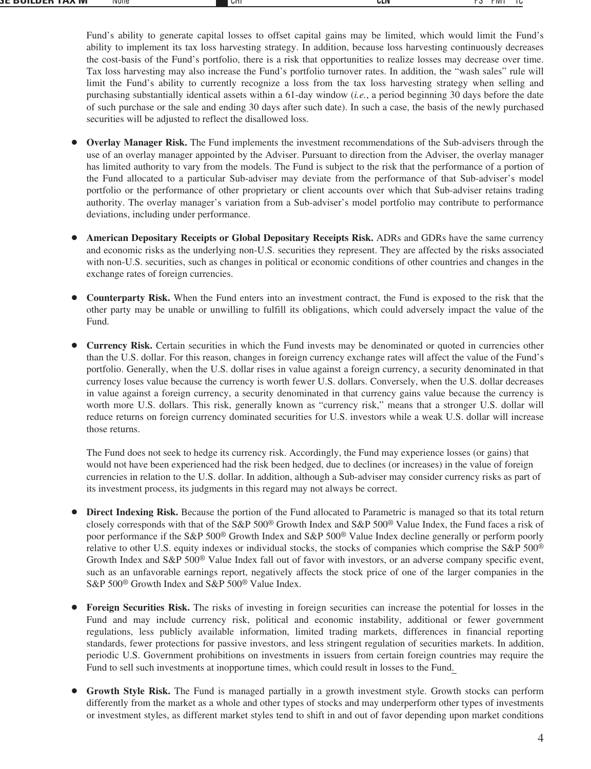| <u>UE DUILDEN TAA IVI</u> | <b>TVOTTE</b> | Ն⊓ւ | ℼ | $T$ $W$ |
|---------------------------|---------------|-----|---|---------|

Fund's ability to generate capital losses to offset capital gains may be limited, which would limit the Fund's ability to implement its tax loss harvesting strategy. In addition, because loss harvesting continuously decreases the cost-basis of the Fund's portfolio, there is a risk that opportunities to realize losses may decrease over time. Tax loss harvesting may also increase the Fund's portfolio turnover rates. In addition, the "wash sales" rule will limit the Fund's ability to currently recognize a loss from the tax loss harvesting strategy when selling and purchasing substantially identical assets within a 61-day window (*i.e.*, a period beginning 30 days before the date of such purchase or the sale and ending 30 days after such date). In such a case, the basis of the newly purchased securities will be adjusted to reflect the disallowed loss.

- **Overlay Manager Risk.** The Fund implements the investment recommendations of the Sub-advisers through the use of an overlay manager appointed by the Adviser. Pursuant to direction from the Adviser, the overlay manager has limited authority to vary from the models. The Fund is subject to the risk that the performance of a portion of the Fund allocated to a particular Sub-adviser may deviate from the performance of that Sub-adviser's model portfolio or the performance of other proprietary or client accounts over which that Sub-adviser retains trading authority. The overlay manager's variation from a Sub-adviser's model portfolio may contribute to performance deviations, including under performance.
- Š **American Depositary Receipts or Global Depositary Receipts Risk.** ADRs and GDRs have the same currency and economic risks as the underlying non-U.S. securities they represent. They are affected by the risks associated with non-U.S. securities, such as changes in political or economic conditions of other countries and changes in the exchange rates of foreign currencies.
- **Counterparty Risk.** When the Fund enters into an investment contract, the Fund is exposed to the risk that the other party may be unable or unwilling to fulfill its obligations, which could adversely impact the value of the Fund.
- **Currency Risk.** Certain securities in which the Fund invests may be denominated or quoted in currencies other than the U.S. dollar. For this reason, changes in foreign currency exchange rates will affect the value of the Fund's portfolio. Generally, when the U.S. dollar rises in value against a foreign currency, a security denominated in that currency loses value because the currency is worth fewer U.S. dollars. Conversely, when the U.S. dollar decreases in value against a foreign currency, a security denominated in that currency gains value because the currency is worth more U.S. dollars. This risk, generally known as "currency risk," means that a stronger U.S. dollar will reduce returns on foreign currency dominated securities for U.S. investors while a weak U.S. dollar will increase those returns.

The Fund does not seek to hedge its currency risk. Accordingly, the Fund may experience losses (or gains) that would not have been experienced had the risk been hedged, due to declines (or increases) in the value of foreign currencies in relation to the U.S. dollar. In addition, although a Sub-adviser may consider currency risks as part of its investment process, its judgments in this regard may not always be correct.

- **Direct Indexing Risk.** Because the portion of the Fund allocated to Parametric is managed so that its total return closely corresponds with that of the S&P 500® Growth Index and S&P 500® Value Index, the Fund faces a risk of poor performance if the S&P 500® Growth Index and S&P 500® Value Index decline generally or perform poorly relative to other U.S. equity indexes or individual stocks, the stocks of companies which comprise the S&P 500® Growth Index and S&P 500® Value Index fall out of favor with investors, or an adverse company specific event, such as an unfavorable earnings report, negatively affects the stock price of one of the larger companies in the S&P 500® Growth Index and S&P 500® Value Index.
- Foreign Securities Risk. The risks of investing in foreign securities can increase the potential for losses in the Fund and may include currency risk, political and economic instability, additional or fewer government regulations, less publicly available information, limited trading markets, differences in financial reporting standards, fewer protections for passive investors, and less stringent regulation of securities markets. In addition, periodic U.S. Government prohibitions on investments in issuers from certain foreign countries may require the Fund to sell such investments at inopportune times, which could result in losses to the Fund.
- **Growth Style Risk.** The Fund is managed partially in a growth investment style. Growth stocks can perform differently from the market as a whole and other types of stocks and may underperform other types of investments or investment styles, as different market styles tend to shift in and out of favor depending upon market conditions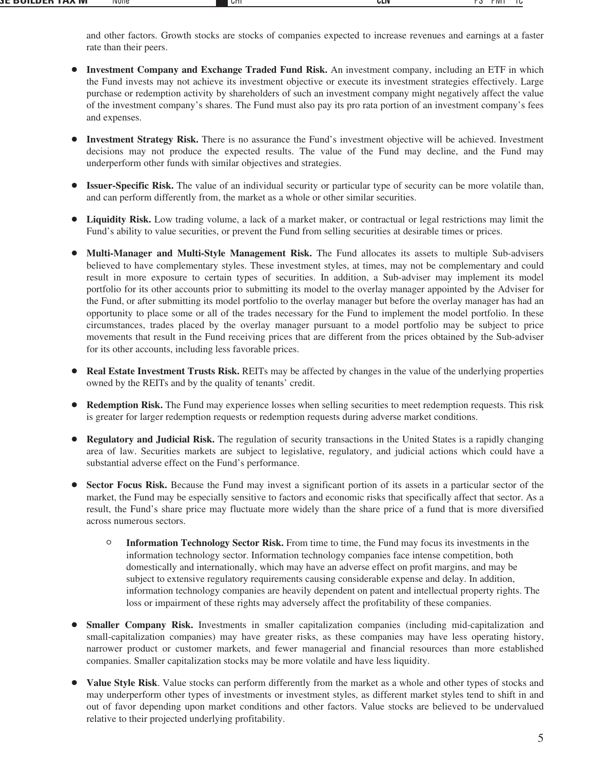and other factors. Growth stocks are stocks of companies expected to increase revenues and earnings at a faster rate than their peers.

- Investment Company and Exchange Traded Fund Risk. An investment company, including an ETF in which the Fund invests may not achieve its investment objective or execute its investment strategies effectively. Large purchase or redemption activity by shareholders of such an investment company might negatively affect the value of the investment company's shares. The Fund must also pay its pro rata portion of an investment company's fees and expenses.
- **Investment Strategy Risk.** There is no assurance the Fund's investment objective will be achieved. Investment decisions may not produce the expected results. The value of the Fund may decline, and the Fund may underperform other funds with similar objectives and strategies.
- **Issuer-Specific Risk.** The value of an individual security or particular type of security can be more volatile than, and can perform differently from, the market as a whole or other similar securities.
- $\bullet$  Liquidity Risk. Low trading volume, a lack of a market maker, or contractual or legal restrictions may limit the Fund's ability to value securities, or prevent the Fund from selling securities at desirable times or prices.
- Multi-Manager and Multi-Style Management Risk. The Fund allocates its assets to multiple Sub-advisers believed to have complementary styles. These investment styles, at times, may not be complementary and could result in more exposure to certain types of securities. In addition, a Sub-adviser may implement its model portfolio for its other accounts prior to submitting its model to the overlay manager appointed by the Adviser for the Fund, or after submitting its model portfolio to the overlay manager but before the overlay manager has had an opportunity to place some or all of the trades necessary for the Fund to implement the model portfolio. In these circumstances, trades placed by the overlay manager pursuant to a model portfolio may be subject to price movements that result in the Fund receiving prices that are different from the prices obtained by the Sub-adviser for its other accounts, including less favorable prices.
- **Real Estate Investment Trusts Risk.** REITs may be affected by changes in the value of the underlying properties owned by the REITs and by the quality of tenants' credit.
- **Redemption Risk.** The Fund may experience losses when selling securities to meet redemption requests. This risk is greater for larger redemption requests or redemption requests during adverse market conditions.
- **Regulatory and Judicial Risk.** The regulation of security transactions in the United States is a rapidly changing area of law. Securities markets are subject to legislative, regulatory, and judicial actions which could have a substantial adverse effect on the Fund's performance.
- Sector Focus Risk. Because the Fund may invest a significant portion of its assets in a particular sector of the market, the Fund may be especially sensitive to factors and economic risks that specifically affect that sector. As a result, the Fund's share price may fluctuate more widely than the share price of a fund that is more diversified across numerous sectors.
	- <sup>O</sup> **Information Technology Sector Risk.** From time to time, the Fund may focus its investments in the information technology sector. Information technology companies face intense competition, both domestically and internationally, which may have an adverse effect on profit margins, and may be subject to extensive regulatory requirements causing considerable expense and delay. In addition, information technology companies are heavily dependent on patent and intellectual property rights. The loss or impairment of these rights may adversely affect the profitability of these companies.
- **Smaller Company Risk.** Investments in smaller capitalization companies (including mid-capitalization and small-capitalization companies) may have greater risks, as these companies may have less operating history, narrower product or customer markets, and fewer managerial and financial resources than more established companies. Smaller capitalization stocks may be more volatile and have less liquidity.
- Value Style Risk. Value stocks can perform differently from the market as a whole and other types of stocks and may underperform other types of investments or investment styles, as different market styles tend to shift in and out of favor depending upon market conditions and other factors. Value stocks are believed to be undervalued relative to their projected underlying profitability.